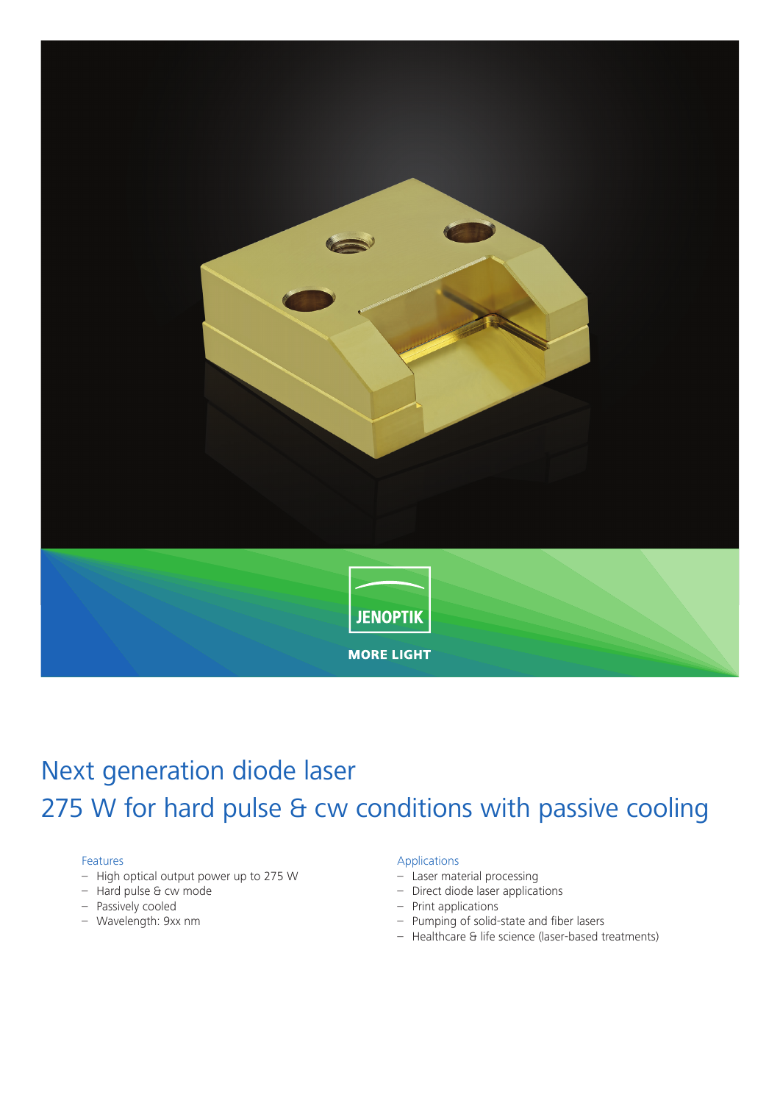

# Next generation diode laser 275 W for hard pulse & cw conditions with passive cooling

### Features

- High optical output power up to 275 W
- Hard pulse & cw mode
- Passively cooled
- Wavelength: 9xx nm

#### Applications

- Laser material processing
- Direct diode laser applications
- Print applications
- Pumping of solid-state and fiber lasers
- Healthcare & life science (laser-based treatments)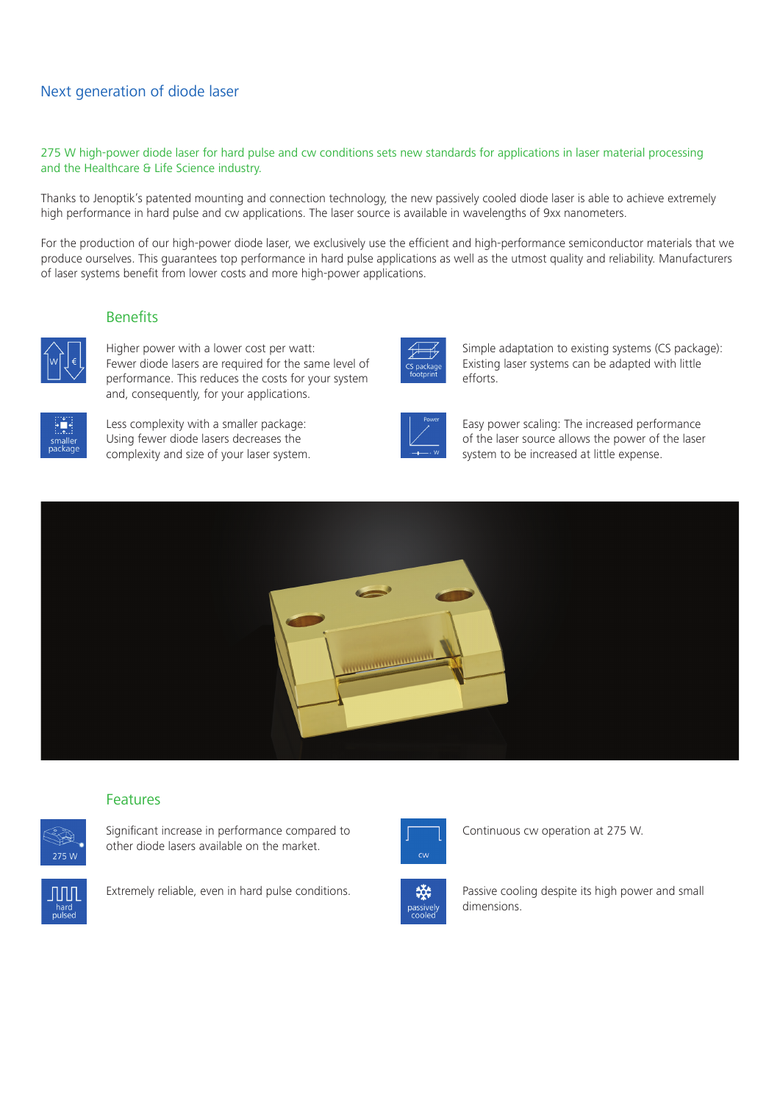# Next generation of diode laser

275 W high-power diode laser for hard pulse and cw conditions sets new standards for applications in laser material processing and the Healthcare & Life Science industry.

Thanks to Jenoptik's patented mounting and connection technology, the new passively cooled diode laser is able to achieve extremely high performance in hard pulse and cw applications. The laser source is available in wavelengths of 9xx nanometers.

For the production of our high-power diode laser, we exclusively use the efficient and high-performance semiconductor materials that we produce ourselves. This guarantees top performance in hard pulse applications as well as the utmost quality and reliability. Manufacturers of laser systems benefit from lower costs and more high-power applications.

## **Benefits**



Higher power with a lower cost per watt: Fewer diode lasers are required for the same level of performance. This reduces the costs for your system and, consequently, for your applications.



Less complexity with a smaller package: Using fewer diode lasers decreases the complexity and size of your laser system.



Simple adaptation to existing systems (CS package): Existing laser systems can be adapted with little efforts.



Easy power scaling: The increased performance of the laser source allows the power of the laser system to be increased at little expense.



# Features



Significant increase in performance compared to other diode lasers available on the market.



Extremely reliable, even in hard pulse conditions.



Continuous cw operation at 275 W.



Passive cooling despite its high power and small dimensions.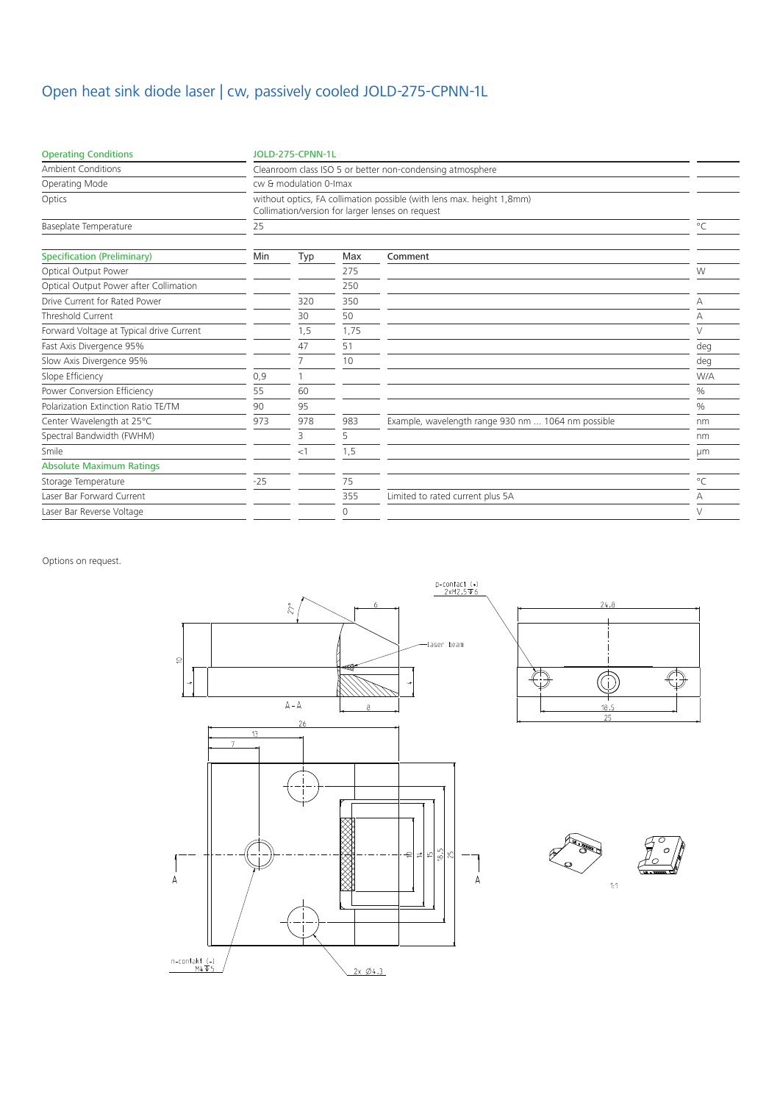# Open heat sink diode laser | cw, passively cooled JOLD-275-CPNN-1L

| <b>Operating Conditions</b>              | <b>JOLD-275-CPNN-1L</b>                                                                                                   |     |      |                                                    |              |
|------------------------------------------|---------------------------------------------------------------------------------------------------------------------------|-----|------|----------------------------------------------------|--------------|
| <b>Ambient Conditions</b>                | Cleanroom class ISO 5 or better non-condensing atmosphere                                                                 |     |      |                                                    |              |
| Operating Mode                           | cw & modulation 0-Imax                                                                                                    |     |      |                                                    |              |
| Optics                                   | without optics, FA collimation possible (with lens max. height 1,8mm)<br>Collimation/version for larger lenses on request |     |      |                                                    |              |
| Baseplate Temperature                    | 25                                                                                                                        |     |      |                                                    | $^{\circ}$ C |
| <b>Specification (Preliminary)</b>       | Min                                                                                                                       | Typ | Max  | Comment                                            |              |
| Optical Output Power                     |                                                                                                                           |     | 275  |                                                    | W            |
| Optical Output Power after Collimation   |                                                                                                                           |     | 250  |                                                    |              |
| Drive Current for Rated Power            |                                                                                                                           | 320 | 350  |                                                    | Α            |
| Threshold Current                        |                                                                                                                           | 30  | 50   |                                                    | А            |
| Forward Voltage at Typical drive Current |                                                                                                                           | 1,5 | 1,75 |                                                    | $\vee$       |
| Fast Axis Divergence 95%                 |                                                                                                                           | 47  | 51   |                                                    | deg          |
| Slow Axis Divergence 95%                 |                                                                                                                           | 7   | 10   |                                                    | deg          |
| Slope Efficiency                         | 0,9                                                                                                                       |     |      |                                                    | W/A          |
| Power Conversion Efficiency              | 55                                                                                                                        | 60  |      |                                                    | $\%$         |
| Polarization Extinction Ratio TE/TM      | 90                                                                                                                        | 95  |      |                                                    | $\%$         |
| Center Wavelength at 25°C                | 973                                                                                                                       | 978 | 983  | Example, wavelength range 930 nm  1064 nm possible | nm           |
| Spectral Bandwidth (FWHM)                |                                                                                                                           | 3   | 5    |                                                    | nm           |
| Smile                                    |                                                                                                                           | <1  | 1,5  |                                                    | μm           |
| <b>Absolute Maximum Ratings</b>          |                                                                                                                           |     |      |                                                    |              |
| Storage Temperature                      | $-25$                                                                                                                     |     | 75   |                                                    | $^{\circ}$ C |
| Laser Bar Forward Current                |                                                                                                                           |     | 355  | Limited to rated current plus 5A                   | А            |
| Laser Bar Reverse Voltage                |                                                                                                                           |     | 0    |                                                    | V            |

Options on request.